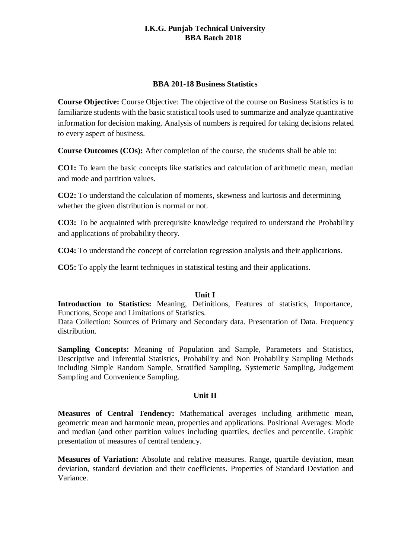## **I.K.G. Punjab Technical University BBA Batch 2018**

#### **BBA 201-18 Business Statistics**

**Course Objective:** Course Objective: The objective of the course on Business Statistics is to familiarize students with the basic statistical tools used to summarize and analyze quantitative information for decision making. Analysis of numbers is required for taking decisions related to every aspect of business.

**Course Outcomes (COs):** After completion of the course, the students shall be able to:

**CO1:** To learn the basic concepts like statistics and calculation of arithmetic mean, median and mode and partition values.

**CO2:** To understand the calculation of moments, skewness and kurtosis and determining whether the given distribution is normal or not.

**CO3:** To be acquainted with prerequisite knowledge required to understand the Probability and applications of probability theory.

**CO4:** To understand the concept of correlation regression analysis and their applications.

**CO5:** To apply the learnt techniques in statistical testing and their applications.

## **Unit I**

**Introduction to Statistics:** Meaning, Definitions, Features of statistics, Importance, Functions, Scope and Limitations of Statistics.

Data Collection: Sources of Primary and Secondary data. Presentation of Data. Frequency distribution.

**Sampling Concepts:** Meaning of Population and Sample, Parameters and Statistics, Descriptive and Inferential Statistics, Probability and Non Probability Sampling Methods including Simple Random Sample, Stratified Sampling, Systemetic Sampling, Judgement Sampling and Convenience Sampling.

# **Unit II**

**Measures of Central Tendency:** Mathematical averages including arithmetic mean, geometric mean and harmonic mean, properties and applications. Positional Averages: Mode and median (and other partition values including quartiles, deciles and percentile. Graphic presentation of measures of central tendency.

**Measures of Variation:** Absolute and relative measures. Range, quartile deviation, mean deviation, standard deviation and their coefficients. Properties of Standard Deviation and Variance.